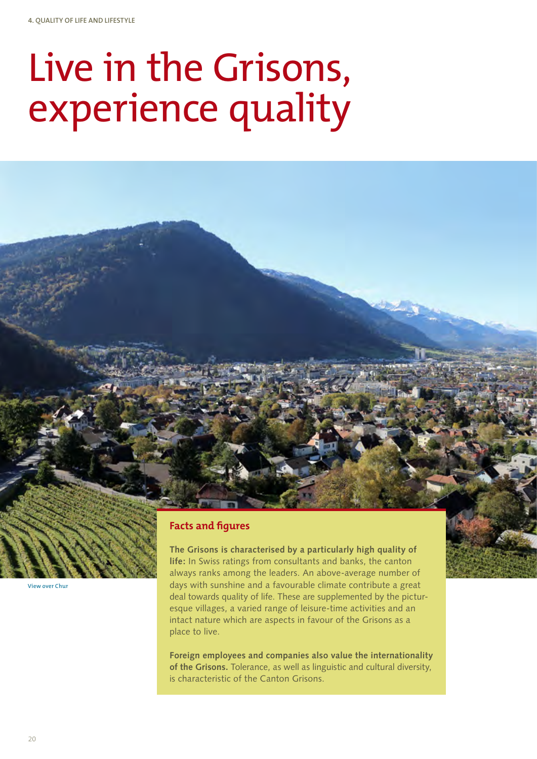# Live in the Grisons, experience quality

# **Facts and figures**

**The Grisons is characterised by a particularly high quality of life:** In Swiss ratings from consultants and banks, the canton always ranks among the leaders. An above-average number of days with sunshine and a favourable climate contribute a great deal towards quality of life. These are supplemented by the picturesque villages, a varied range of leisure-time activities and an intact nature which are aspects in favour of the Grisons as a place to live.

**Foreign employees and companies also value the internationality of the Grisons.** Tolerance, as well as linguistic and cultural diversity, is characteristic of the Canton Grisons.

**View over Chur**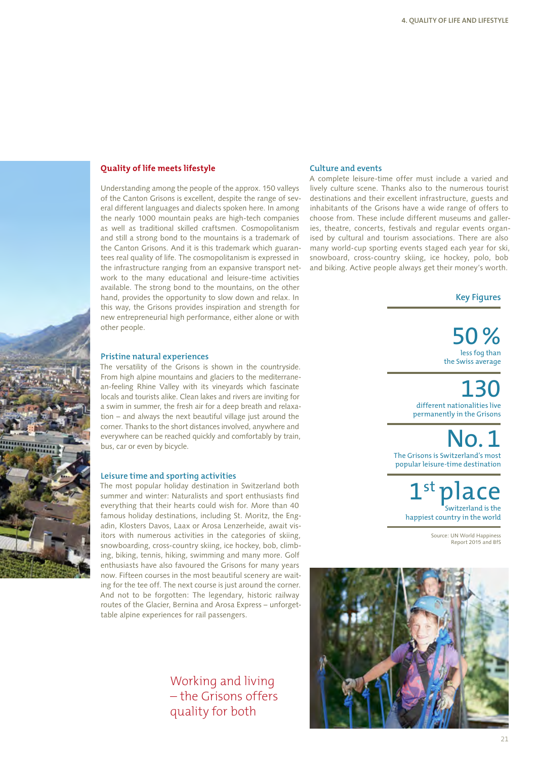

Understanding among the people of the approx. 150 valleys of the Canton Grisons is excellent, despite the range of several different languages and dialects spoken here. In among the nearly 1000 mountain peaks are high-tech companies as well as traditional skilled craftsmen. Cosmopolitanism and still a strong bond to the mountains is a trademark of the Canton Grisons. And it is this trademark which guarantees real quality of life. The cosmopolitanism is expressed in the infrastructure ranging from an expansive transport network to the many educational and leisure-time activities available. The strong bond to the mountains, on the other hand, provides the opportunity to slow down and relax. In this way, the Grisons provides inspiration and strength for new entrepreneurial high performance, either alone or with other people.

#### **Pristine natural experiences**

The versatility of the Grisons is shown in the countryside. From high alpine mountains and glaciers to the mediterranean-feeling Rhine Valley with its vineyards which fascinate locals and tourists alike. Clean lakes and rivers are inviting for a swim in summer, the fresh air for a deep breath and relaxation – and always the next beautiful village just around the corner. Thanks to the short distances involved, anywhere and everywhere can be reached quickly and comfortably by train, bus, car or even by bicycle.

#### **Leisure time and sporting activities**

The most popular holiday destination in Switzerland both summer and winter: Naturalists and sport enthusiasts find everything that their hearts could wish for. More than 40 famous holiday destinations, including St. Moritz, the Engadin, Klosters Davos, Laax or Arosa Lenzerheide, await visitors with numerous activities in the categories of skiing, snowboarding, cross-country skiing, ice hockey, bob, climbing, biking, tennis, hiking, swimming and many more. Golf enthusiasts have also favoured the Grisons for many years now. Fifteen courses in the most beautiful scenery are waiting for the tee off. The next course is just around the corner. And not to be forgotten: The legendary, historic railway routes of the Glacier, Bernina and Arosa Express – unforgettable alpine experiences for rail passengers.

> Working and living – the Grisons offers quality for both

#### **Culture and events**

A complete leisure-time offer must include a varied and lively culture scene. Thanks also to the numerous tourist destinations and their excellent infrastructure, guests and inhabitants of the Grisons have a wide range of offers to choose from. These include different museums and galleries, theatre, concerts, festivals and regular events organised by cultural and tourism associations. There are also many world-cup sporting events staged each year for ski, snowboard, cross-country skiing, ice hockey, polo, bob and biking. Active people always get their money's worth.

#### **Key Figures**

50% less fog than the Swiss average

130 different nationalities live permanently in the Grisons

No.1 The Grisons is Switzerland's most popular leisure-time destination

1st place Switzerland is the happiest country in the world

Source: UN World Happiness Report 2015 and BfS



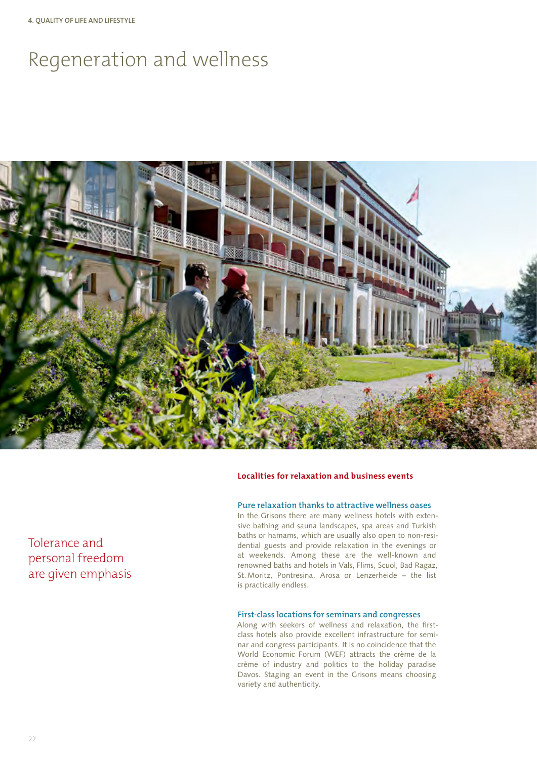# Regeneration and wellness



#### **Localities for relaxation and business events**

#### **Pure relaxation thanks to attractive wellness oases**

In the Grisons there are many wellness hotels with extensive bathing and sauna landscapes, spa areas and Turkish baths or hamams, which are usually also open to non-residential guests and provide relaxation in the evenings or at weekends. Among these are the well-known and renowned baths and hotels in Vals, Flims, Scuol, Bad Ragaz, St.Moritz, Pontresina, Arosa or Lenzerheide – the list is practically endless.

#### **First-class locations for seminars and congresses**

Along with seekers of wellness and relaxation, the firstclass hotels also provide excellent infrastructure for seminar and congress participants. It is no coincidence that the World Economic Forum (WEF) attracts the crème de la crème of industry and politics to the holiday paradise Davos. Staging an event in the Grisons means choosing variety and authenticity.

### Tolerance and personal freedom are given emphasis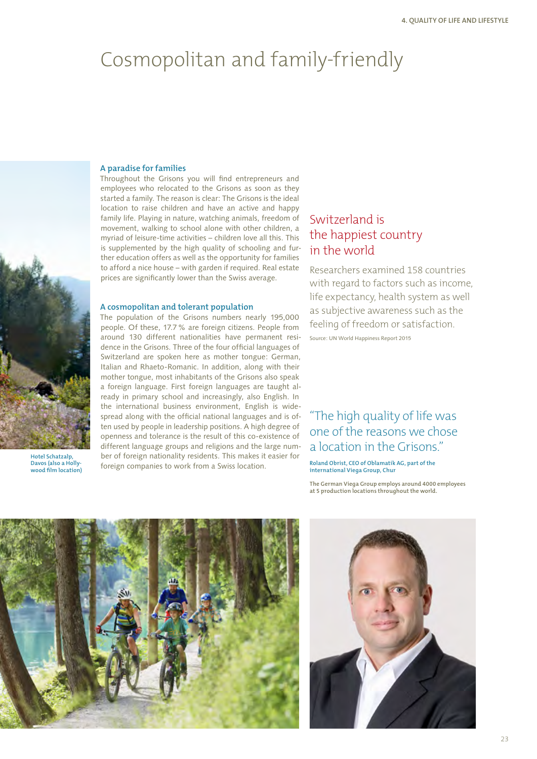# Cosmopolitan and family-friendly



**Hotel Schatzalp, Davos (also a Hollywood film location)**

#### **A paradise for families**

Throughout the Grisons you will find entrepreneurs and employees who relocated to the Grisons as soon as they started a family. The reason is clear: The Grisons is the ideal location to raise children and have an active and happy family life. Playing in nature, watching animals, freedom of movement, walking to school alone with other children, a myriad of leisure-time activities – children love all this. This is supplemented by the high quality of schooling and further education offers as well as the opportunity for families to afford a nice house – with garden if required. Real estate prices are significantly lower than the Swiss average.

#### **A cosmopolitan and tolerant population**

The population of the Grisons numbers nearly 195,000 people. Of these, 17.7% are foreign citizens. People from around 130 different nationalities have permanent residence in the Grisons. Three of the four official languages of Switzerland are spoken here as mother tongue: German, Italian and Rhaeto-Romanic. In addition, along with their mother tongue, most inhabitants of the Grisons also speak a foreign language. First foreign languages are taught already in primary school and increasingly, also English. In the international business environment, English is widespread along with the official national languages and is often used by people in leadership positions. A high degree of openness and tolerance is the result of this co-existence of different language groups and religions and the large number of foreign nationality residents. This makes it easier for foreign companies to work from a Swiss location.

### Switzerland is the happiest country in the world

Researchers examined 158 countries with regard to factors such as income. life expectancy, health system as well as subjective awareness such as the feeling of freedom or satisfaction.

Source: UN World Happiness Report 2015

## "The high quality of life was one of the reasons we chose a location in the Grisons."

**Roland Obrist, CEO of Oblamatik AG, part of the international Viega Group, Chur**

**The German Viega Group employs around 4000 employees at 5 production locations throughout the world.**



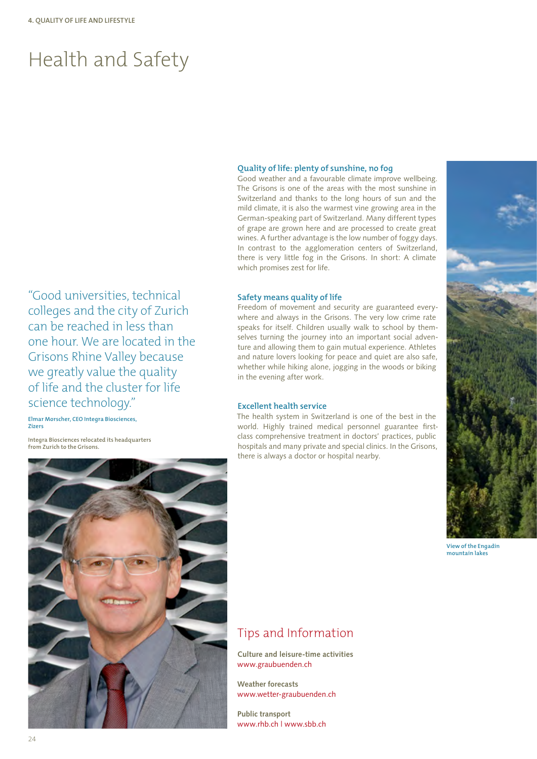# Health and Safety

#### **Quality of life: plenty of sunshine, no fog**

Good weather and a favourable climate improve wellbeing. The Grisons is one of the areas with the most sunshine in Switzerland and thanks to the long hours of sun and the mild climate, it is also the warmest vine growing area in the German-speaking part of Switzerland. Many different types of grape are grown here and are processed to create great wines. A further advantage is the low number of foggy days. In contrast to the agglomeration centers of Switzerland, there is very little fog in the Grisons. In short: A climate which promises zest for life.

#### **Safety means quality of life**

Freedom of movement and security are guaranteed everywhere and always in the Grisons. The very low crime rate speaks for itself. Children usually walk to school by themselves turning the journey into an important social adventure and allowing them to gain mutual experience. Athletes and nature lovers looking for peace and quiet are also safe, whether while hiking alone, jogging in the woods or biking in the evening after work.

#### **Excellent health service**

The health system in Switzerland is one of the best in the world. Highly trained medical personnel guarantee firstclass comprehensive treatment in doctors' practices, public hospitals and many private and special clinics. In the Grisons, there is always a doctor or hospital nearby.



**View of the Engadin mountain lakes**

"Good universities, technical colleges and the city of Zurich can be reached in less than one hour. We are located in the Grisons Rhine Valley because we greatly value the quality of life and the cluster for life science technology."

**Elmar Morscher, CEO Integra Biosciences, Zizers**

**Integra Biosciences relocated its headquarters from Zurich to the Grisons.**



### Tips and Information

**Culture and leisure-time activities** www.graubuenden.ch

**Weather forecasts** www.wetter-graubuenden.ch

**Public transport** www.rhb.ch | www.sbb.ch